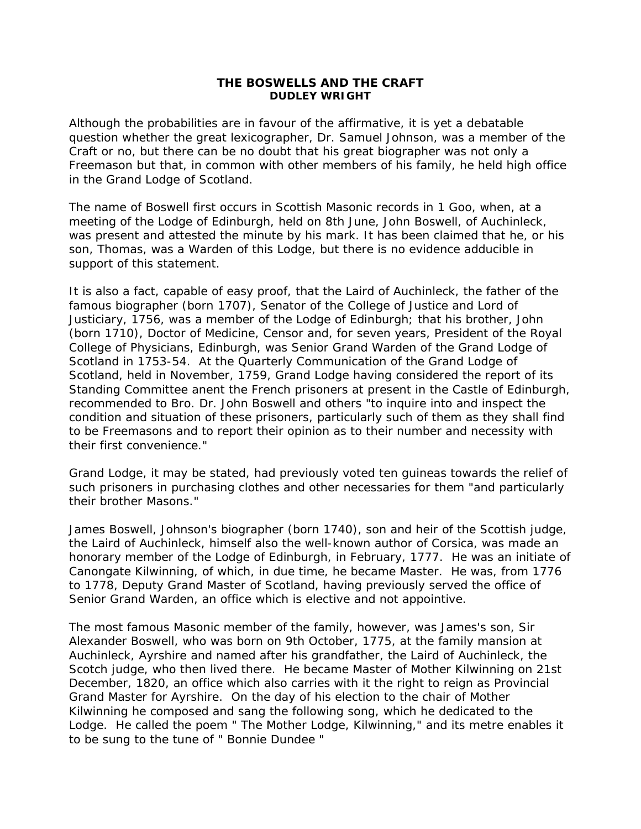## **THE BOSWELLS AND THE CRAFT DUDLEY WRIGHT**

Although the probabilities are in favour of the affirmative, it is yet a debatable question whether the great lexicographer, Dr. Samuel Johnson, was a member of the Craft or no, but there can be no doubt that his great biographer was not only a Freemason but that, in common with other members of his family, he held high office in the Grand Lodge of Scotland.

The name of Boswell first occurs in Scottish Masonic records in 1 Goo, when, at a meeting of the Lodge of Edinburgh, held on 8th June, John Boswell, of Auchinleck, was present and attested the minute by his mark. It has been claimed that he, or his son, Thomas, was a Warden of this Lodge, but there is no evidence adducible in support of this statement.

It is also a fact, capable of easy proof, that the Laird of Auchinleck, the father of the famous biographer (born 1707), Senator of the College of Justice and Lord of Justiciary, 1756, was a member of the Lodge of Edinburgh; that his brother, John (born 1710), Doctor of Medicine, Censor and, for seven years, President of the Royal College of Physicians, Edinburgh, was Senior Grand Warden of the Grand Lodge of Scotland in 1753-54. At the Quarterly Communication of the Grand Lodge of Scotland, held in November, 1759, Grand Lodge having considered the report of its Standing Committee anent the French prisoners at present in the Castle of Edinburgh, recommended to Bro. Dr. John Boswell and others "to inquire into and inspect the condition and situation of these prisoners, particularly such of them as they shall find to be Freemasons and to report their opinion as to their number and necessity with their first convenience."

Grand Lodge, it may be stated, had previously voted ten guineas towards the relief of such prisoners in purchasing clothes and other necessaries for them "and particularly their brother Masons."

James Boswell, Johnson's biographer (born 1740), son and heir of the Scottish judge, the Laird of Auchinleck, himself also the well-known author of Corsica, was made an honorary member of the Lodge of Edinburgh, in February, 1777. He was an initiate of Canongate Kilwinning, of which, in due time, he became Master. He was, from 1776 to 1778, Deputy Grand Master of Scotland, having previously served the office of Senior Grand Warden, an office which is elective and not appointive.

The most famous Masonic member of the family, however, was James's son, Sir Alexander Boswell, who was born on 9th October, 1775, at the family mansion at Auchinleck, Ayrshire and named after his grandfather, the Laird of Auchinleck, the Scotch judge, who then lived there. He became Master of Mother Kilwinning on 21st December, 1820, an office which also carries with it the right to reign as Provincial Grand Master for Ayrshire. On the day of his election to the chair of Mother Kilwinning he composed and sang the following song, which he dedicated to the Lodge. He called the poem " The Mother Lodge, Kilwinning," and its metre enables it to be sung to the tune of " Bonnie Dundee "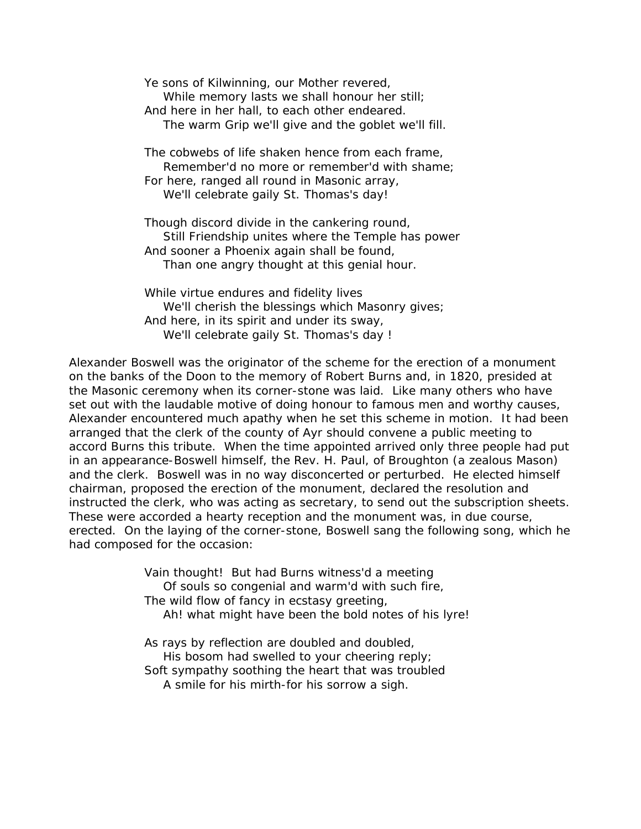Ye sons of Kilwinning, our Mother revered, While memory lasts we shall honour her still; And here in her hall, to each other endeared. The warm Grip we'll give and the goblet we'll fill. The cobwebs of life shaken hence from each frame, Remember'd no more or remember'd with shame; For here, ranged all round in Masonic array, We'll celebrate gaily St. Thomas's day! Though discord divide in the cankering round, Still Friendship unites where the Temple has power And sooner a Phoenix again shall be found,

Than one angry thought at this genial hour.

While virtue endures and fidelity lives We'll cherish the blessings which Masonry gives; And here, in its spirit and under its sway, We'll celebrate gaily St. Thomas's day !

Alexander Boswell was the originator of the scheme for the erection of a monument on the banks of the Doon to the memory of Robert Burns and, in 1820, presided at the Masonic ceremony when its corner-stone was laid. Like many others who have set out with the laudable motive of doing honour to famous men and worthy causes, Alexander encountered much apathy when he set this scheme in motion. It had been arranged that the clerk of the county of Ayr should convene a public meeting to accord Burns this tribute. When the time appointed arrived only three people had put in an appearance-Boswell himself, the Rev. H. Paul, of Broughton (a zealous Mason) and the clerk. Boswell was in no way disconcerted or perturbed. He elected himself chairman, proposed the erection of the monument, declared the resolution and instructed the clerk, who was acting as secretary, to send out the subscription sheets. These were accorded a hearty reception and the monument was, in due course, erected. On the laying of the corner-stone, Boswell sang the following song, which he had composed for the occasion:

> Vain thought! But had Burns witness'd a meeting Of souls so congenial and warm'd with such fire, The wild flow of fancy in ecstasy greeting, Ah! what might have been the bold notes of his lyre!

As rays by reflection are doubled and doubled, His bosom had swelled to your cheering reply; Soft sympathy soothing the heart that was troubled A smile for his mirth-for his sorrow a sigh.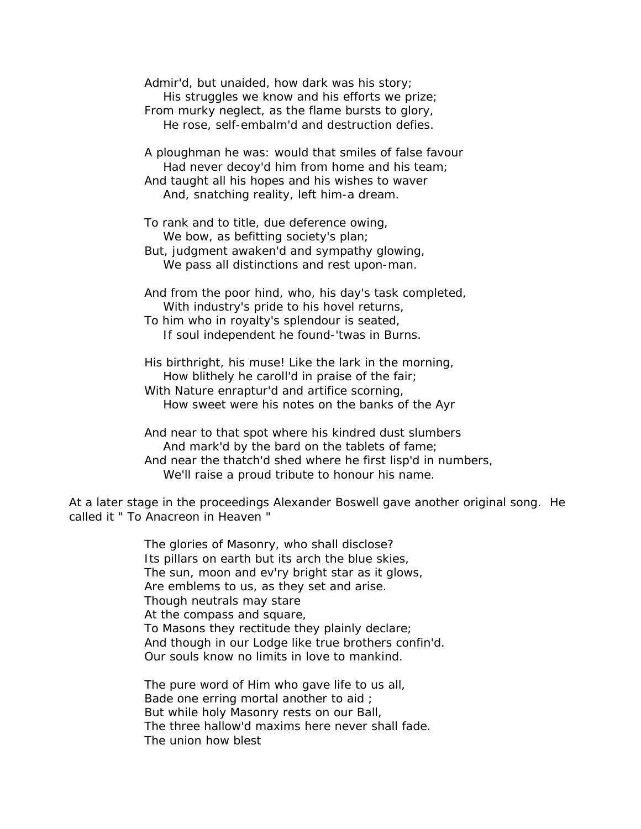Admir'd, but unaided, how dark was his story; His struggles we know and his efforts we prize; From murky neglect, as the flame bursts to glory, He rose, self-embalm'd and destruction defies.

A ploughman he was: would that smiles of false favour Had never decoy'd him from home and his team; And taught all his hopes and his wishes to waver

And, snatching reality, left him-a dream.

To rank and to title, due deference owing, We bow, as befitting society's plan;

But, judgment awaken'd and sympathy glowing, We pass all distinctions and rest upon-man.

And from the poor hind, who, his day's task completed, With industry's pride to his hovel returns,

To him who in royalty's splendour is seated, If soul independent he found-'twas in Burns.

His birthright, his muse! Like the lark in the morning, How blithely he caroll'd in praise of the fair; With Nature enraptur'd and artifice scorning, How sweet were his notes on the banks of the Ayr

And near to that spot where his kindred dust slumbers And mark'd by the bard on the tablets of fame; And near the thatch'd shed where he first lisp'd in numbers, We'll raise a proud tribute to honour his name.

At a later stage in the proceedings Alexander Boswell gave another original song. He called it " To Anacreon in Heaven "

> The glories of Masonry, who shall disclose? Its pillars on earth but its arch the blue skies, The sun, moon and ev'ry bright star as it glows, Are emblems to us, as they set and arise. Though neutrals may stare At the compass and square, To Masons they rectitude they plainly declare; And though in our Lodge like true brothers confin'd. Our souls know no limits in love to mankind.

The pure word of Him who gave life to us all, Bade one erring mortal another to aid ; But while holy Masonry rests on our Ball, The three hallow'd maxims here never shall fade. The union how blest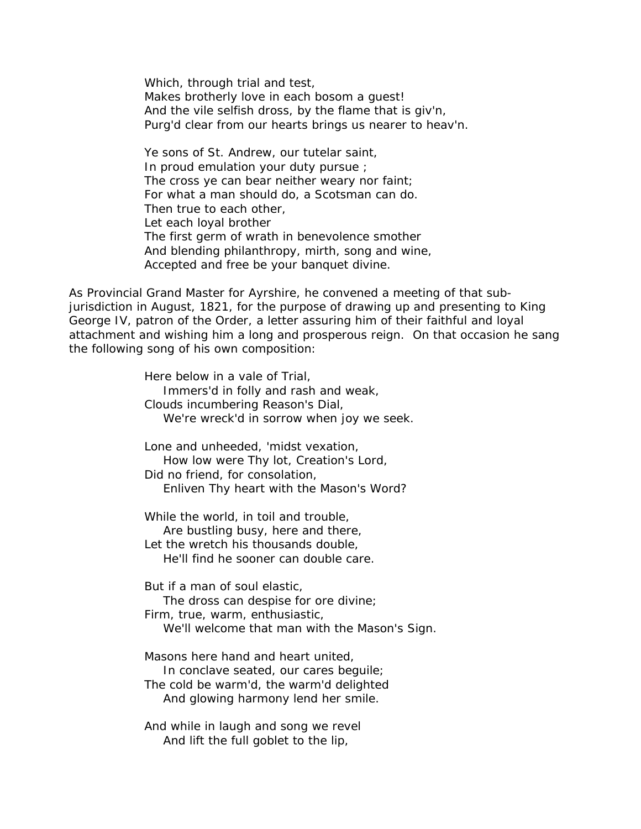Which, through trial and test, Makes brotherly love in each bosom a guest! And the vile selfish dross, by the flame that is giv'n, Purg'd clear from our hearts brings us nearer to heav'n.

Ye sons of St. Andrew, our tutelar saint, In proud emulation your duty pursue ; The cross ye can bear neither weary nor faint; For what a man should do, a Scotsman can do. Then true to each other, Let each loyal brother The first germ of wrath in benevolence smother And blending philanthropy, mirth, song and wine, Accepted and free be your banquet divine.

As Provincial Grand Master for Ayrshire, he convened a meeting of that subjurisdiction in August, 1821, for the purpose of drawing up and presenting to King George IV, patron of the Order, a letter assuring him of their faithful and loyal attachment and wishing him a long and prosperous reign. On that occasion he sang the following song of his own composition:

> Here below in a vale of Trial, Immers'd in folly and rash and weak, Clouds incumbering Reason's Dial, We're wreck'd in sorrow when joy we seek. Lone and unheeded, 'midst vexation, How low were Thy lot, Creation's Lord, Did no friend, for consolation, Enliven Thy heart with the Mason's Word? While the world, in toil and trouble, Are bustling busy, here and there, Let the wretch his thousands double, He'll find he sooner can double care. But if a man of soul elastic, The dross can despise for ore divine; Firm, true, warm, enthusiastic, We'll welcome that man with the Mason's Sign. Masons here hand and heart united, In conclave seated, our cares beguile; The cold be warm'd, the warm'd delighted And glowing harmony lend her smile. And while in laugh and song we revel And lift the full goblet to the lip,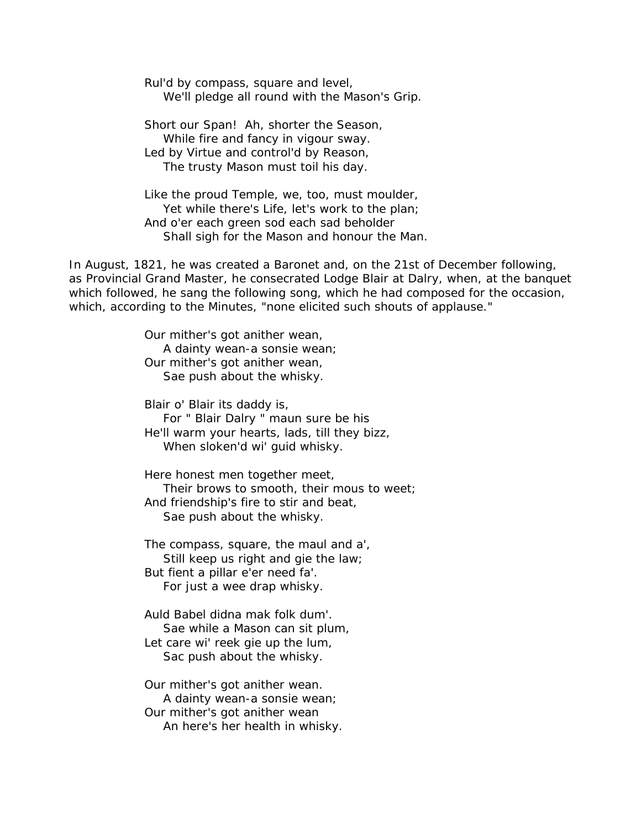Rul'd by compass, square and level, We'll pledge all round with the Mason's Grip.

Short our Span! Ah, shorter the Season, While fire and fancy in vigour sway. Led by Virtue and control'd by Reason, The trusty Mason must toil his day.

Like the proud Temple, we, too, must moulder, Yet while there's Life, let's work to the plan; And o'er each green sod each sad beholder Shall sigh for the Mason and honour the Man.

In August, 1821, he was created a Baronet and, on the 21st of December following, as Provincial Grand Master, he consecrated Lodge Blair at Dalry, when, at the banquet which followed, he sang the following song, which he had composed for the occasion, which, according to the Minutes, "none elicited such shouts of applause."

> Our mither's got anither wean, A dainty wean-a sonsie wean; Our mither's got anither wean, Sae push about the whisky.

Blair o' Blair its daddy is, For " Blair Dalry " maun sure be his He'll warm your hearts, lads, till they bizz, When sloken'd wi' guid whisky.

Here honest men together meet, Their brows to smooth, their mous to weet; And friendship's fire to stir and beat, Sae push about the whisky.

The compass, square, the maul and a', Still keep us right and gie the law; But fient a pillar e'er need fa'. For just a wee drap whisky.

Auld Babel didna mak folk dum'. Sae while a Mason can sit plum, Let care wi' reek gie up the lum, Sac push about the whisky.

Our mither's got anither wean. A dainty wean-a sonsie wean; Our mither's got anither wean An here's her health in whisky.